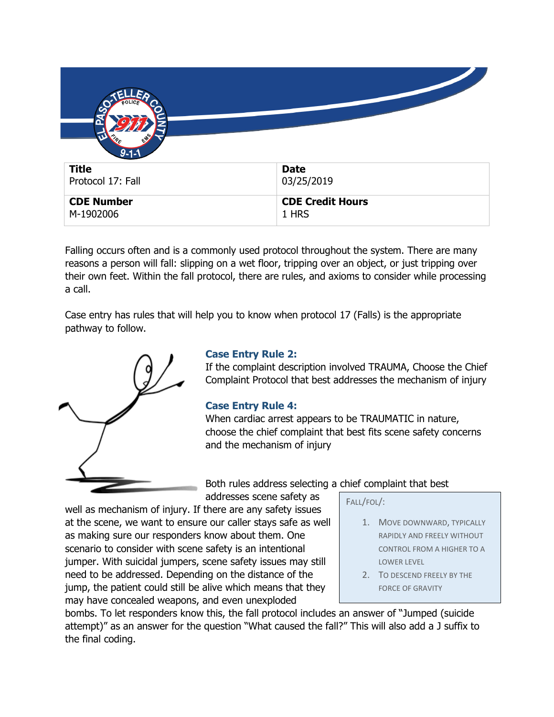| $9 - 1 - 1$       |                         |
|-------------------|-------------------------|
| <b>Title</b>      | <b>Date</b>             |
| Protocol 17: Fall | 03/25/2019              |
| <b>CDE Number</b> | <b>CDE Credit Hours</b> |
| M-1902006         | 1 HRS                   |

Falling occurs often and is a commonly used protocol throughout the system. There are many reasons a person will fall: slipping on a wet floor, tripping over an object, or just tripping over their own feet. Within the fall protocol, there are rules, and axioms to consider while processing a call.

Case entry has rules that will help you to know when protocol 17 (Falls) is the appropriate pathway to follow.



## **Case Entry Rule 2:**

If the complaint description involved TRAUMA, Choose the Chief Complaint Protocol that best addresses the mechanism of injury

## **Case Entry Rule 4:**

When cardiac arrest appears to be TRAUMATIC in nature, choose the chief complaint that best fits scene safety concerns and the mechanism of injury

Both rules address selecting a chief complaint that best addresses scene safety as

FALL/FOL/:

- 1. MOVE DOWNWARD, TYPICALLY RAPIDLY AND FREELY WITHOUT CONTROL FROM A HIGHER TO A LOWER LEVEL
- 2. TO DESCEND FREELY BY THE FORCE OF GRAVITY

scenario to consider with scene safety is an intentional jumper. With suicidal jumpers, scene safety issues may still need to be addressed. Depending on the distance of the jump, the patient could still be alive which means that they may have concealed weapons, and even unexploded

at the scene, we want to ensure our caller stays safe as well

as making sure our responders know about them. One

bombs. To let responders know this, the fall protocol includes an answer of "Jumped (suicide attempt)" as an answer for the question "What caused the fall?" This will also add a J suffix to the final coding.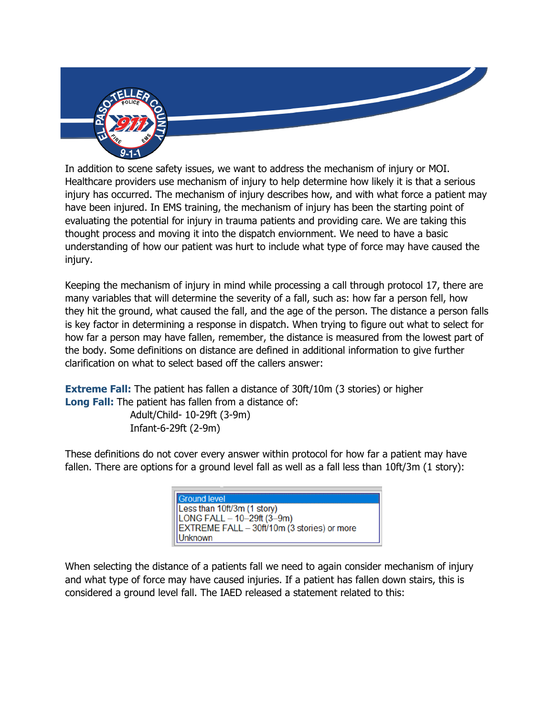

In addition to scene safety issues, we want to address the mechanism of injury or MOI. Healthcare providers use mechanism of injury to help determine how likely it is that a serious injury has occurred. The mechanism of injury describes how, and with what force a patient may have been injured. In EMS training, the mechanism of injury has been the starting point of evaluating the potential for injury in trauma patients and providing care. We are taking this thought process and moving it into the dispatch enviornment. We need to have a basic understanding of how our patient was hurt to include what type of force may have caused the injury.

Keeping the mechanism of injury in mind while processing a call through protocol 17, there are many variables that will determine the severity of a fall, such as: how far a person fell, how they hit the ground, what caused the fall, and the age of the person. The distance a person falls is key factor in determining a response in dispatch. When trying to figure out what to select for how far a person may have fallen, remember, the distance is measured from the lowest part of the body. Some definitions on distance are defined in additional information to give further clarification on what to select based off the callers answer:

**Extreme Fall:** The patient has fallen a distance of 30ft/10m (3 stories) or higher **Long Fall:** The patient has fallen from a distance of: Adult/Child- 10-29ft (3-9m) Infant-6-29ft (2-9m)

These definitions do not cover every answer within protocol for how far a patient may have fallen. There are options for a ground level fall as well as a fall less than 10ft/3m (1 story):

| Ground level                                |
|---------------------------------------------|
| Less than 10ft/3m (1 story)                 |
| $ $ LONG FALL – 10–29ft (3–9m)              |
| EXTREME FALL - 30ft/10m (3 stories) or more |
| Unknown                                     |

When selecting the distance of a patients fall we need to again consider mechanism of injury and what type of force may have caused injuries. If a patient has fallen down stairs, this is considered a ground level fall. The IAED released a statement related to this: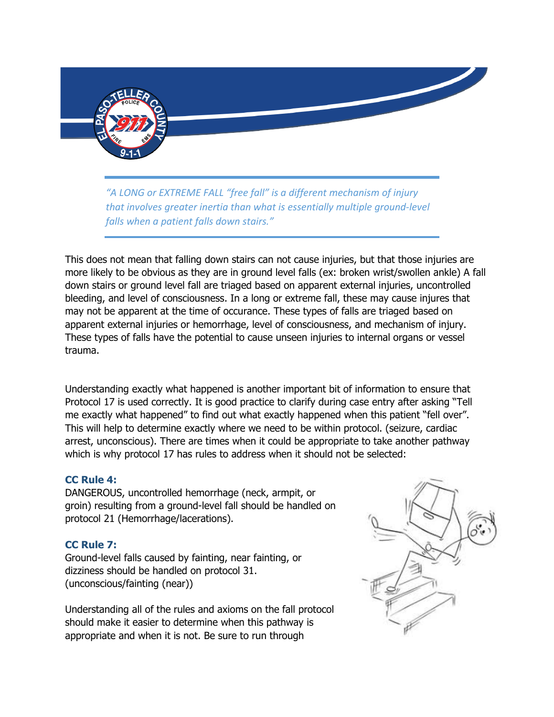

*"A LONG or EXTREME FALL "free fall" is a different mechanism of injury that involves greater inertia than what is essentially multiple ground-level falls when a patient falls down stairs."*

This does not mean that falling down stairs can not cause injuries, but that those injuries are more likely to be obvious as they are in ground level falls (ex: broken wrist/swollen ankle) A fall down stairs or ground level fall are triaged based on apparent external injuries, uncontrolled bleeding, and level of consciousness. In a long or extreme fall, these may cause injures that may not be apparent at the time of occurance. These types of falls are triaged based on apparent external injuries or hemorrhage, level of consciousness, and mechanism of injury. These types of falls have the potential to cause unseen injuries to internal organs or vessel trauma.

Understanding exactly what happened is another important bit of information to ensure that Protocol 17 is used correctly. It is good practice to clarify during case entry after asking "Tell me exactly what happened" to find out what exactly happened when this patient "fell over". This will help to determine exactly where we need to be within protocol. (seizure, cardiac arrest, unconscious). There are times when it could be appropriate to take another pathway which is why protocol 17 has rules to address when it should not be selected:

## **CC Rule 4:**

DANGEROUS, uncontrolled hemorrhage (neck, armpit, or groin) resulting from a ground-level fall should be handled on protocol 21 (Hemorrhage/lacerations).

## **CC Rule 7:**

Ground-level falls caused by fainting, near fainting, or dizziness should be handled on protocol 31. (unconscious/fainting (near))

Understanding all of the rules and axioms on the fall protocol should make it easier to determine when this pathway is appropriate and when it is not. Be sure to run through

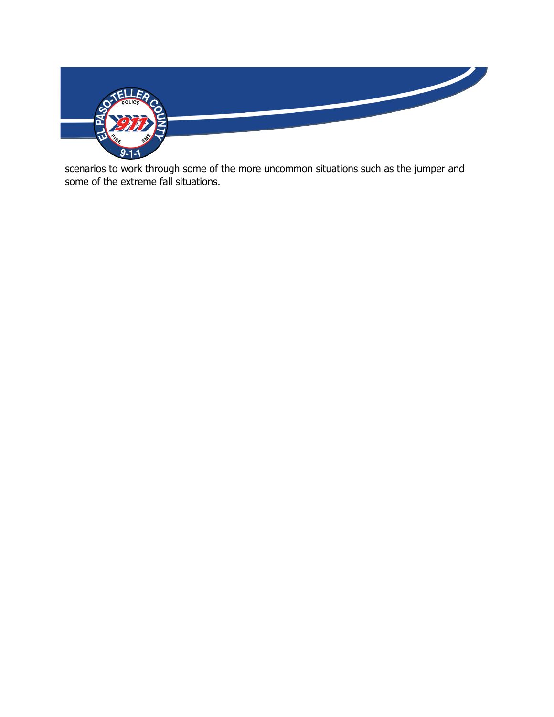

scenarios to work through some of the more uncommon situations such as the jumper and some of the extreme fall situations.